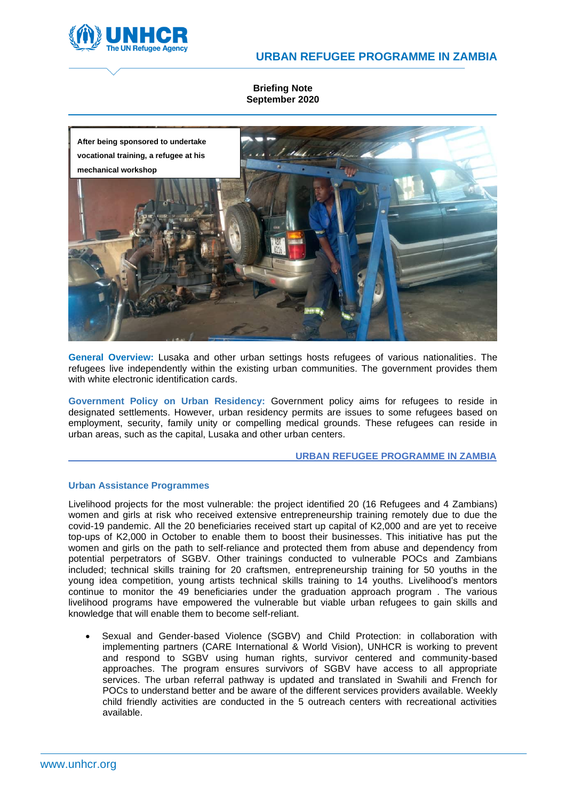



**Briefing Note September 2020**



**General Overview:** Lusaka and other urban settings hosts refugees of various nationalities. The refugees live independently within the existing urban communities. The government provides them with white electronic identification cards.

**Government Policy on Urban Residency:** Government policy aims for refugees to reside in designated settlements. However, urban residency permits are issues to some refugees based on employment, security, family unity or compelling medical grounds. These refugees can reside in urban areas, such as the capital, Lusaka and other urban centers.

#### **URBAN REFUGEE PROGRAMME IN ZAMBIA**

## **Urban Assistance Programmes**

Livelihood projects for the most vulnerable: the project identified 20 (16 Refugees and 4 Zambians) women and girls at risk who received extensive entrepreneurship training remotely due to due the covid-19 pandemic. All the 20 beneficiaries received start up capital of K2,000 and are yet to receive top-ups of K2,000 in October to enable them to boost their businesses. This initiative has put the women and girls on the path to self-reliance and protected them from abuse and dependency from potential perpetrators of SGBV. Other trainings conducted to vulnerable POCs and Zambians included; technical skills training for 20 craftsmen, entrepreneurship training for 50 youths in the young idea competition, young artists technical skills training to 14 youths. Livelihood's mentors continue to monitor the 49 beneficiaries under the graduation approach program . The various livelihood programs have empowered the vulnerable but viable urban refugees to gain skills and knowledge that will enable them to become self-reliant.

• Sexual and Gender-based Violence (SGBV) and Child Protection: in collaboration with implementing partners (CARE International & World Vision), UNHCR is working to prevent and respond to SGBV using human rights, survivor centered and community-based approaches. The program ensures survivors of SGBV have access to all appropriate services. The urban referral pathway is updated and translated in Swahili and French for POCs to understand better and be aware of the different services providers available. Weekly child friendly activities are conducted in the 5 outreach centers with recreational activities available.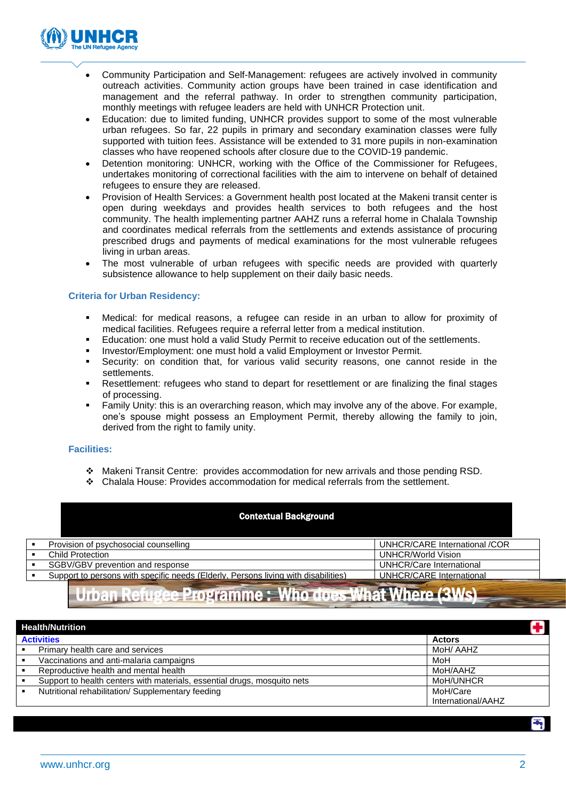

- Community Participation and Self-Management: refugees are actively involved in community outreach activities. Community action groups have been trained in case identification and management and the referral pathway. In order to strengthen community participation, monthly meetings with refugee leaders are held with UNHCR Protection unit.
- Education: due to limited funding, UNHCR provides support to some of the most vulnerable urban refugees. So far, 22 pupils in primary and secondary examination classes were fully supported with tuition fees. Assistance will be extended to 31 more pupils in non-examination classes who have reopened schools after closure due to the COVID-19 pandemic.
- Detention monitoring: UNHCR, working with the Office of the Commissioner for Refugees, undertakes monitoring of correctional facilities with the aim to intervene on behalf of detained refugees to ensure they are released.
- Provision of Health Services: a Government health post located at the Makeni transit center is open during weekdays and provides health services to both refugees and the host community. The health implementing partner AAHZ runs a referral home in Chalala Township and coordinates medical referrals from the settlements and extends assistance of procuring prescribed drugs and payments of medical examinations for the most vulnerable refugees living in urban areas.
- The most vulnerable of urban refugees with specific needs are provided with quarterly subsistence allowance to help supplement on their daily basic needs.

# **Criteria for Urban Residency:**

- Medical: for medical reasons, a refugee can reside in an urban to allow for proximity of medical facilities. Refugees require a referral letter from a medical institution.
- Education: one must hold a valid Study Permit to receive education out of the settlements.
- Investor/Employment: one must hold a valid Employment or Investor Permit.
- Security: on condition that, for various valid security reasons, one cannot reside in the settlements.
- **EXECT** Resettlement: refugees who stand to depart for resettlement or are finalizing the final stages of processing.
- Family Unity: this is an overarching reason, which may involve any of the above. For example, one's spouse might possess an Employment Permit, thereby allowing the family to join, derived from the right to family unity.

## **Facilities:**

- ❖ Makeni Transit Centre: provides accommodation for new arrivals and those pending RSD.
- ❖ Chalala House: Provides accommodation for medical referrals from the settlement.

|     | <b>Contextual Background</b>                                                       |                                 |
|-----|------------------------------------------------------------------------------------|---------------------------------|
| . . | Provision of psychosocial counselling                                              | UNHCR/CARE International /COR   |
|     | <b>Child Protection</b>                                                            | <b>UNHCR/World Vision</b>       |
| . . | SGBV/GBV prevention and response                                                   | <b>UNHCR/Care International</b> |
| . . | Support to persons with specific needs (Elderly, Persons living with disabilities) | UNHCR/CARE International        |

# Urban Refugee Programme : Who does What Where (3Ws)

| 9<br><b>Health/Nutrition</b> |                                                                          |                    |
|------------------------------|--------------------------------------------------------------------------|--------------------|
| <b>Activities</b>            |                                                                          | <b>Actors</b>      |
|                              | Primary health care and services                                         | MoH/ AAHZ          |
|                              | Vaccinations and anti-malaria campaigns                                  | MoH                |
|                              | Reproductive health and mental health                                    | MoH/AAHZ           |
|                              | Support to health centers with materials, essential drugs, mosquito nets | MoH/UNHCR          |
|                              | Nutritional rehabilitation/ Supplementary feeding                        | MoH/Care           |
|                              |                                                                          | International/AAHZ |